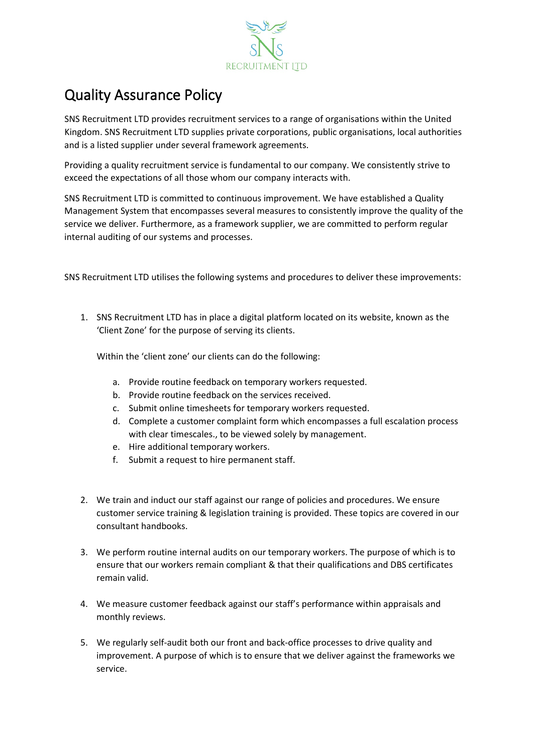

## Quality Assurance Policy

SNS Recruitment LTD provides recruitment services to a range of organisations within the United Kingdom. SNS Recruitment LTD supplies private corporations, public organisations, local authorities and is a listed supplier under several framework agreements.

Providing a quality recruitment service is fundamental to our company. We consistently strive to exceed the expectations of all those whom our company interacts with.

SNS Recruitment LTD is committed to continuous improvement. We have established a Quality Management System that encompasses several measures to consistently improve the quality of the service we deliver. Furthermore, as a framework supplier, we are committed to perform regular internal auditing of our systems and processes.

SNS Recruitment LTD utilises the following systems and procedures to deliver these improvements:

1. SNS Recruitment LTD has in place a digital platform located on its website, known as the 'Client Zone' for the purpose of serving its clients.

Within the 'client zone' our clients can do the following:

- a. Provide routine feedback on temporary workers requested.
- b. Provide routine feedback on the services received.
- c. Submit online timesheets for temporary workers requested.
- d. Complete a customer complaint form which encompasses a full escalation process with clear timescales., to be viewed solely by management.
- e. Hire additional temporary workers.
- f. Submit a request to hire permanent staff.
- 2. We train and induct our staff against our range of policies and procedures. We ensure customer service training & legislation training is provided. These topics are covered in our consultant handbooks.
- 3. We perform routine internal audits on our temporary workers. The purpose of which is to ensure that our workers remain compliant & that their qualifications and DBS certificates remain valid.
- 4. We measure customer feedback against our staff's performance within appraisals and monthly reviews.
- 5. We regularly self-audit both our front and back-office processes to drive quality and improvement. A purpose of which is to ensure that we deliver against the frameworks we service.